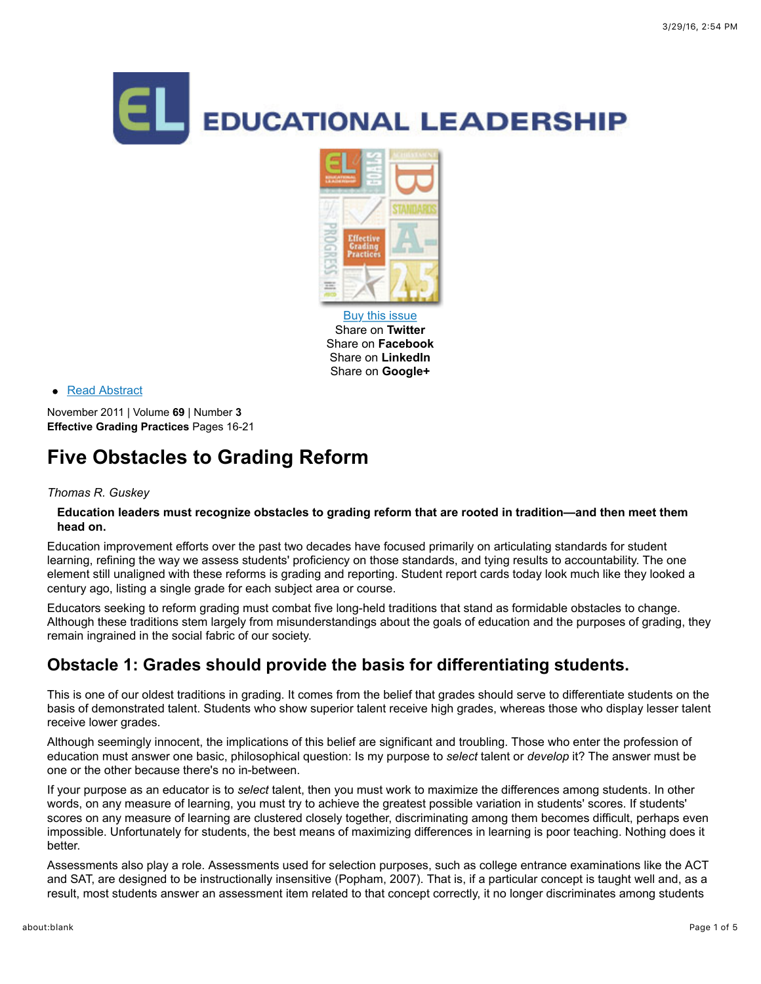



[Buy this issue](http://shop.ascd.org/?ProductCode=112018) Share on **Twitter** Share on **Facebook** Share on **LinkedIn** Share on **Google+**

#### • [Read Abstract](http://www.ascd.org/publications/educational_leadership/nov11/vol69/num03/abstract.aspx#Five_Obstacles_to_Grading_Reform)

November 2011 | Volume **69** | Number **3 Effective Grading Practices** Pages 16-21

# **Five Obstacles to Grading Reform**

#### *Thomas R. Guskey*

#### **Education leaders must recognize obstacles to grading reform that are rooted in tradition—and then meet them head on.**

Education improvement efforts over the past two decades have focused primarily on articulating standards for student learning, refining the way we assess students' proficiency on those standards, and tying results to accountability. The one element still unaligned with these reforms is grading and reporting. Student report cards today look much like they looked a century ago, listing a single grade for each subject area or course.

Educators seeking to reform grading must combat five long-held traditions that stand as formidable obstacles to change. Although these traditions stem largely from misunderstandings about the goals of education and the purposes of grading, they remain ingrained in the social fabric of our society.

# **Obstacle 1: Grades should provide the basis for differentiating students.**

This is one of our oldest traditions in grading. It comes from the belief that grades should serve to differentiate students on the basis of demonstrated talent. Students who show superior talent receive high grades, whereas those who display lesser talent receive lower grades.

Although seemingly innocent, the implications of this belief are significant and troubling. Those who enter the profession of education must answer one basic, philosophical question: Is my purpose to *select* talent or *develop* it? The answer must be one or the other because there's no in-between.

If your purpose as an educator is to *select* talent, then you must work to maximize the differences among students. In other words, on any measure of learning, you must try to achieve the greatest possible variation in students' scores. If students' scores on any measure of learning are clustered closely together, discriminating among them becomes difficult, perhaps even impossible. Unfortunately for students, the best means of maximizing differences in learning is poor teaching. Nothing does it better.

Assessments also play a role. Assessments used for selection purposes, such as college entrance examinations like the ACT and SAT, are designed to be instructionally insensitive (Popham, 2007). That is, if a particular concept is taught well and, as a result, most students answer an assessment item related to that concept correctly, it no longer discriminates among students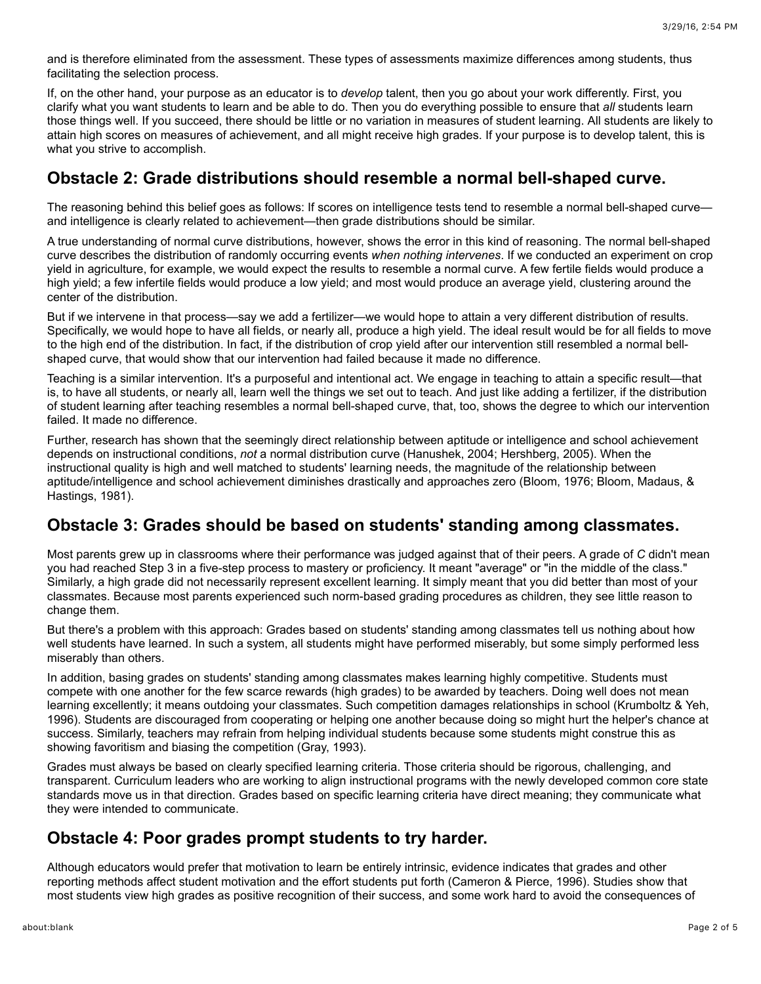and is therefore eliminated from the assessment. These types of assessments maximize differences among students, thus facilitating the selection process.

If, on the other hand, your purpose as an educator is to *develop* talent, then you go about your work differently. First, you clarify what you want students to learn and be able to do. Then you do everything possible to ensure that *all* students learn those things well. If you succeed, there should be little or no variation in measures of student learning. All students are likely to attain high scores on measures of achievement, and all might receive high grades. If your purpose is to develop talent, this is what you strive to accomplish.

### **Obstacle 2: Grade distributions should resemble a normal bell-shaped curve.**

The reasoning behind this belief goes as follows: If scores on intelligence tests tend to resemble a normal bell-shaped curve and intelligence is clearly related to achievement—then grade distributions should be similar.

A true understanding of normal curve distributions, however, shows the error in this kind of reasoning. The normal bell-shaped curve describes the distribution of randomly occurring events *when nothing intervenes*. If we conducted an experiment on crop yield in agriculture, for example, we would expect the results to resemble a normal curve. A few fertile fields would produce a high yield; a few infertile fields would produce a low yield; and most would produce an average yield, clustering around the center of the distribution.

But if we intervene in that process—say we add a fertilizer—we would hope to attain a very different distribution of results. Specifically, we would hope to have all fields, or nearly all, produce a high yield. The ideal result would be for all fields to move to the high end of the distribution. In fact, if the distribution of crop yield after our intervention still resembled a normal bellshaped curve, that would show that our intervention had failed because it made no difference.

Teaching is a similar intervention. It's a purposeful and intentional act. We engage in teaching to attain a specific result—that is, to have all students, or nearly all, learn well the things we set out to teach. And just like adding a fertilizer, if the distribution of student learning after teaching resembles a normal bell-shaped curve, that, too, shows the degree to which our intervention failed. It made no difference.

Further, research has shown that the seemingly direct relationship between aptitude or intelligence and school achievement depends on instructional conditions, *not* a normal distribution curve (Hanushek, 2004; Hershberg, 2005). When the instructional quality is high and well matched to students' learning needs, the magnitude of the relationship between aptitude/intelligence and school achievement diminishes drastically and approaches zero (Bloom, 1976; Bloom, Madaus, & Hastings, 1981).

### **Obstacle 3: Grades should be based on students' standing among classmates.**

Most parents grew up in classrooms where their performance was judged against that of their peers. A grade of *C* didn't mean you had reached Step 3 in a five-step process to mastery or proficiency. It meant "average" or "in the middle of the class." Similarly, a high grade did not necessarily represent excellent learning. It simply meant that you did better than most of your classmates. Because most parents experienced such norm-based grading procedures as children, they see little reason to change them.

But there's a problem with this approach: Grades based on students' standing among classmates tell us nothing about how well students have learned. In such a system, all students might have performed miserably, but some simply performed less miserably than others.

In addition, basing grades on students' standing among classmates makes learning highly competitive. Students must compete with one another for the few scarce rewards (high grades) to be awarded by teachers. Doing well does not mean learning excellently; it means outdoing your classmates. Such competition damages relationships in school (Krumboltz & Yeh, 1996). Students are discouraged from cooperating or helping one another because doing so might hurt the helper's chance at success. Similarly, teachers may refrain from helping individual students because some students might construe this as showing favoritism and biasing the competition (Gray, 1993).

Grades must always be based on clearly specified learning criteria. Those criteria should be rigorous, challenging, and transparent. Curriculum leaders who are working to align instructional programs with the newly developed common core state standards move us in that direction. Grades based on specific learning criteria have direct meaning; they communicate what they were intended to communicate.

### **Obstacle 4: Poor grades prompt students to try harder.**

Although educators would prefer that motivation to learn be entirely intrinsic, evidence indicates that grades and other reporting methods affect student motivation and the effort students put forth (Cameron & Pierce, 1996). Studies show that most students view high grades as positive recognition of their success, and some work hard to avoid the consequences of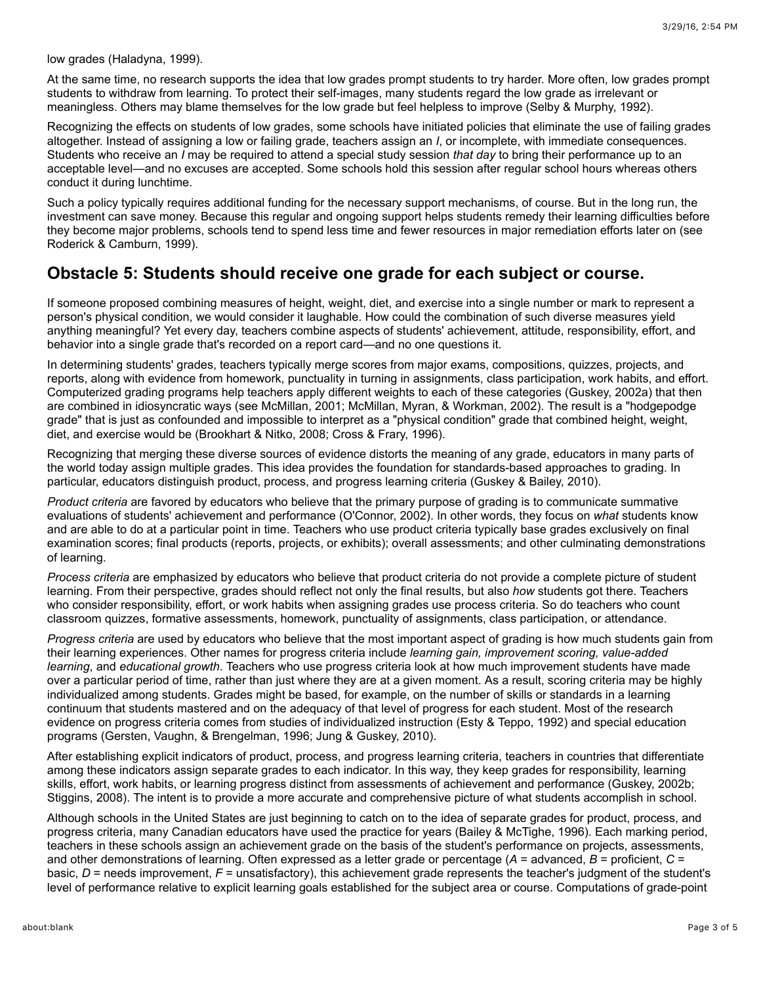low grades (Haladyna, 1999).

At the same time, no research supports the idea that low grades prompt students to try harder. More often, low grades prompt students to withdraw from learning. To protect their self-images, many students regard the low grade as irrelevant or meaningless. Others may blame themselves for the low grade but feel helpless to improve (Selby & Murphy, 1992).

Recognizing the effects on students of low grades, some schools have initiated policies that eliminate the use of failing grades altogether. Instead of assigning a low or failing grade, teachers assign an *I*, or incomplete, with immediate consequences. Students who receive an *I* may be required to attend a special study session *that day* to bring their performance up to an acceptable level—and no excuses are accepted. Some schools hold this session after regular school hours whereas others conduct it during lunchtime.

Such a policy typically requires additional funding for the necessary support mechanisms, of course. But in the long run, the investment can save money. Because this regular and ongoing support helps students remedy their learning difficulties before they become major problems, schools tend to spend less time and fewer resources in major remediation efforts later on (see Roderick & Camburn, 1999).

#### **Obstacle 5: Students should receive one grade for each subject or course.**

If someone proposed combining measures of height, weight, diet, and exercise into a single number or mark to represent a person's physical condition, we would consider it laughable. How could the combination of such diverse measures yield anything meaningful? Yet every day, teachers combine aspects of students' achievement, attitude, responsibility, effort, and behavior into a single grade that's recorded on a report card—and no one questions it.

In determining students' grades, teachers typically merge scores from major exams, compositions, quizzes, projects, and reports, along with evidence from homework, punctuality in turning in assignments, class participation, work habits, and effort. Computerized grading programs help teachers apply different weights to each of these categories (Guskey, 2002a) that then are combined in idiosyncratic ways (see McMillan, 2001; McMillan, Myran, & Workman, 2002). The result is a "hodgepodge grade" that is just as confounded and impossible to interpret as a "physical condition" grade that combined height, weight, diet, and exercise would be (Brookhart & Nitko, 2008; Cross & Frary, 1996).

Recognizing that merging these diverse sources of evidence distorts the meaning of any grade, educators in many parts of the world today assign multiple grades. This idea provides the foundation for standards-based approaches to grading. In particular, educators distinguish product, process, and progress learning criteria (Guskey & Bailey, 2010).

*Product criteria* are favored by educators who believe that the primary purpose of grading is to communicate summative evaluations of students' achievement and performance (O'Connor, 2002). In other words, they focus on *what* students know and are able to do at a particular point in time. Teachers who use product criteria typically base grades exclusively on final examination scores; final products (reports, projects, or exhibits); overall assessments; and other culminating demonstrations of learning.

*Process criteria* are emphasized by educators who believe that product criteria do not provide a complete picture of student learning. From their perspective, grades should reflect not only the final results, but also *how* students got there. Teachers who consider responsibility, effort, or work habits when assigning grades use process criteria. So do teachers who count classroom quizzes, formative assessments, homework, punctuality of assignments, class participation, or attendance.

*Progress criteria* are used by educators who believe that the most important aspect of grading is how much students gain from their learning experiences. Other names for progress criteria include *learning gain, improvement scoring, value-added learning*, and *educational growth*. Teachers who use progress criteria look at how much improvement students have made over a particular period of time, rather than just where they are at a given moment. As a result, scoring criteria may be highly individualized among students. Grades might be based, for example, on the number of skills or standards in a learning continuum that students mastered and on the adequacy of that level of progress for each student. Most of the research evidence on progress criteria comes from studies of individualized instruction (Esty & Teppo, 1992) and special education programs (Gersten, Vaughn, & Brengelman, 1996; Jung & Guskey, 2010).

After establishing explicit indicators of product, process, and progress learning criteria, teachers in countries that differentiate among these indicators assign separate grades to each indicator. In this way, they keep grades for responsibility, learning skills, effort, work habits, or learning progress distinct from assessments of achievement and performance (Guskey, 2002b; Stiggins, 2008). The intent is to provide a more accurate and comprehensive picture of what students accomplish in school.

Although schools in the United States are just beginning to catch on to the idea of separate grades for product, process, and progress criteria, many Canadian educators have used the practice for years (Bailey & McTighe, 1996). Each marking period, teachers in these schools assign an achievement grade on the basis of the student's performance on projects, assessments, and other demonstrations of learning. Often expressed as a letter grade or percentage ( $A =$  advanced,  $B =$  proficient,  $C =$ basic, *D* = needs improvement, *F* = unsatisfactory), this achievement grade represents the teacher's judgment of the student's level of performance relative to explicit learning goals established for the subject area or course. Computations of grade-point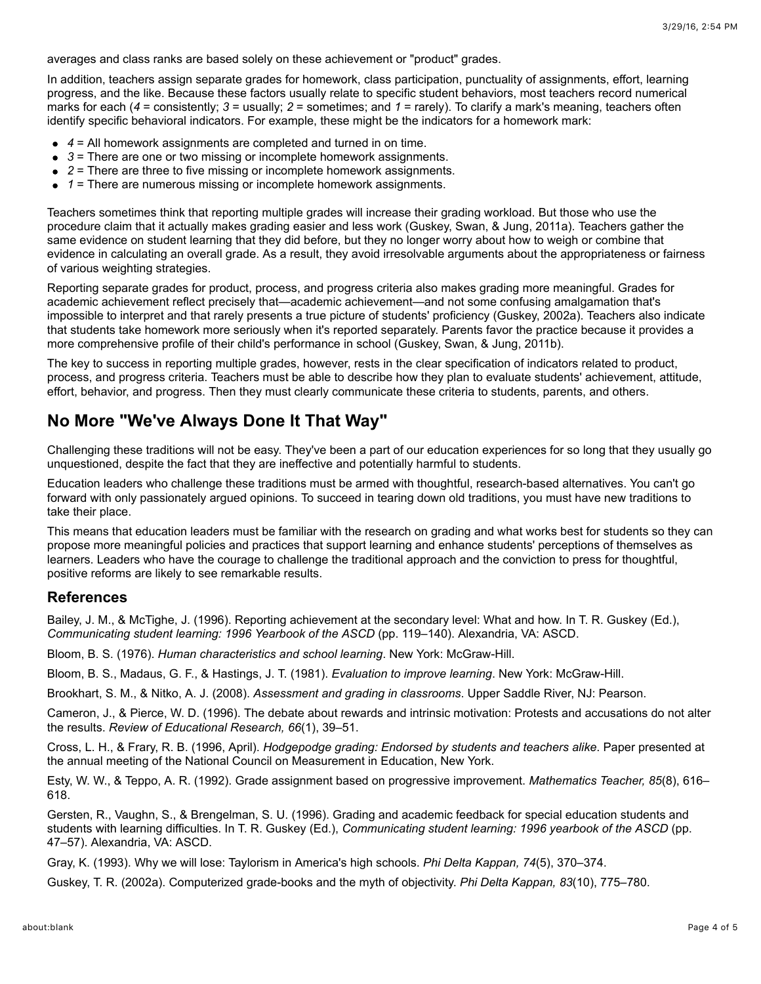averages and class ranks are based solely on these achievement or "product" grades.

In addition, teachers assign separate grades for homework, class participation, punctuality of assignments, effort, learning progress, and the like. Because these factors usually relate to specific student behaviors, most teachers record numerical marks for each (*4* = consistently; *3* = usually; *2* = sometimes; and *1* = rarely). To clarify a mark's meaning, teachers often identify specific behavioral indicators. For example, these might be the indicators for a homework mark:

- *4* = All homework assignments are completed and turned in on time.
- *3* = There are one or two missing or incomplete homework assignments.
- *2* = There are three to five missing or incomplete homework assignments.
- 1 = There are numerous missing or incomplete homework assignments.

Teachers sometimes think that reporting multiple grades will increase their grading workload. But those who use the procedure claim that it actually makes grading easier and less work (Guskey, Swan, & Jung, 2011a). Teachers gather the same evidence on student learning that they did before, but they no longer worry about how to weigh or combine that evidence in calculating an overall grade. As a result, they avoid irresolvable arguments about the appropriateness or fairness of various weighting strategies.

Reporting separate grades for product, process, and progress criteria also makes grading more meaningful. Grades for academic achievement reflect precisely that—academic achievement—and not some confusing amalgamation that's impossible to interpret and that rarely presents a true picture of students' proficiency (Guskey, 2002a). Teachers also indicate that students take homework more seriously when it's reported separately. Parents favor the practice because it provides a more comprehensive profile of their child's performance in school (Guskey, Swan, & Jung, 2011b).

The key to success in reporting multiple grades, however, rests in the clear specification of indicators related to product, process, and progress criteria. Teachers must be able to describe how they plan to evaluate students' achievement, attitude, effort, behavior, and progress. Then they must clearly communicate these criteria to students, parents, and others.

# **No More "We've Always Done It That Way"**

Challenging these traditions will not be easy. They've been a part of our education experiences for so long that they usually go unquestioned, despite the fact that they are ineffective and potentially harmful to students.

Education leaders who challenge these traditions must be armed with thoughtful, research-based alternatives. You can't go forward with only passionately argued opinions. To succeed in tearing down old traditions, you must have new traditions to take their place.

This means that education leaders must be familiar with the research on grading and what works best for students so they can propose more meaningful policies and practices that support learning and enhance students' perceptions of themselves as learners. Leaders who have the courage to challenge the traditional approach and the conviction to press for thoughtful, positive reforms are likely to see remarkable results.

#### **References**

Bailey, J. M., & McTighe, J. (1996). Reporting achievement at the secondary level: What and how. In T. R. Guskey (Ed.), *Communicating student learning: 1996 Yearbook of the ASCD* (pp. 119–140). Alexandria, VA: ASCD.

Bloom, B. S. (1976). *Human characteristics and school learning*. New York: McGraw-Hill.

Bloom, B. S., Madaus, G. F., & Hastings, J. T. (1981). *Evaluation to improve learning*. New York: McGraw-Hill.

Brookhart, S. M., & Nitko, A. J. (2008). *Assessment and grading in classrooms*. Upper Saddle River, NJ: Pearson.

Cameron, J., & Pierce, W. D. (1996). The debate about rewards and intrinsic motivation: Protests and accusations do not alter the results. *Review of Educational Research, 66*(1), 39–51.

Cross, L. H., & Frary, R. B. (1996, April). *Hodgepodge grading: Endorsed by students and teachers alike*. Paper presented at the annual meeting of the National Council on Measurement in Education, New York.

Esty, W. W., & Teppo, A. R. (1992). Grade assignment based on progressive improvement. *Mathematics Teacher, 85*(8), 616– 618.

Gersten, R., Vaughn, S., & Brengelman, S. U. (1996). Grading and academic feedback for special education students and students with learning difficulties. In T. R. Guskey (Ed.), *Communicating student learning: 1996 yearbook of the ASCD* (pp. 47–57). Alexandria, VA: ASCD.

Gray, K. (1993). Why we will lose: Taylorism in America's high schools. *Phi Delta Kappan, 74*(5), 370–374.

Guskey, T. R. (2002a). Computerized grade-books and the myth of objectivity. *Phi Delta Kappan, 83*(10), 775–780.